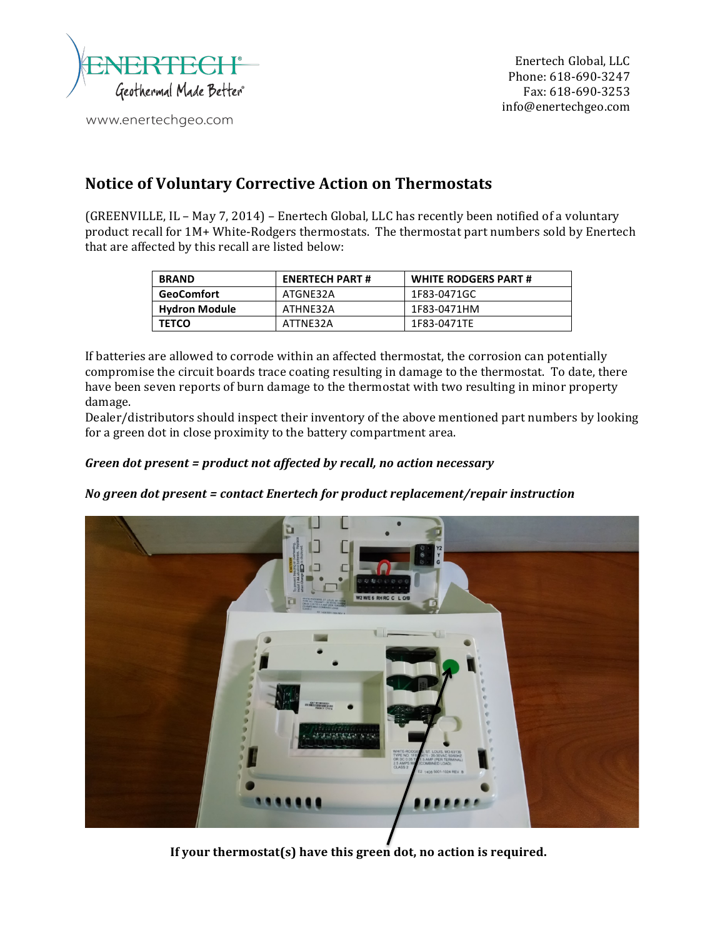

www.enertechgeo.com

## **Notice of Voluntary Corrective Action on Thermostats**

(GREENVILLE, IL - May 7, 2014) - Enertech Global, LLC has recently been notified of a voluntary product recall for 1M+ White-Rodgers thermostats. The thermostat part numbers sold by Enertech that are affected by this recall are listed below:

| <b>BRAND</b>         | <b>ENERTECH PART#</b> | <b>WHITE RODGERS PART #</b> |
|----------------------|-----------------------|-----------------------------|
| <b>GeoComfort</b>    | ATGNE32A              | 1F83-0471GC                 |
| <b>Hydron Module</b> | ATHNE32A              | 1F83-0471HM                 |
| <b>TETCO</b>         | ATTNE32A              | 1F83-0471TE                 |

If batteries are allowed to corrode within an affected thermostat, the corrosion can potentially compromise the circuit boards trace coating resulting in damage to the thermostat. To date, there have been seven reports of burn damage to the thermostat with two resulting in minor property damage. 

Dealer/distributors should inspect their inventory of the above mentioned part numbers by looking for a green dot in close proximity to the battery compartment area.

## *Green dot present* = *product not affected by recall, no action necessary*

## *No green dot present* = *contact Enertech for product replacement/repair instruction*



**If your thermostat(s) have this green dot, no action is required.**